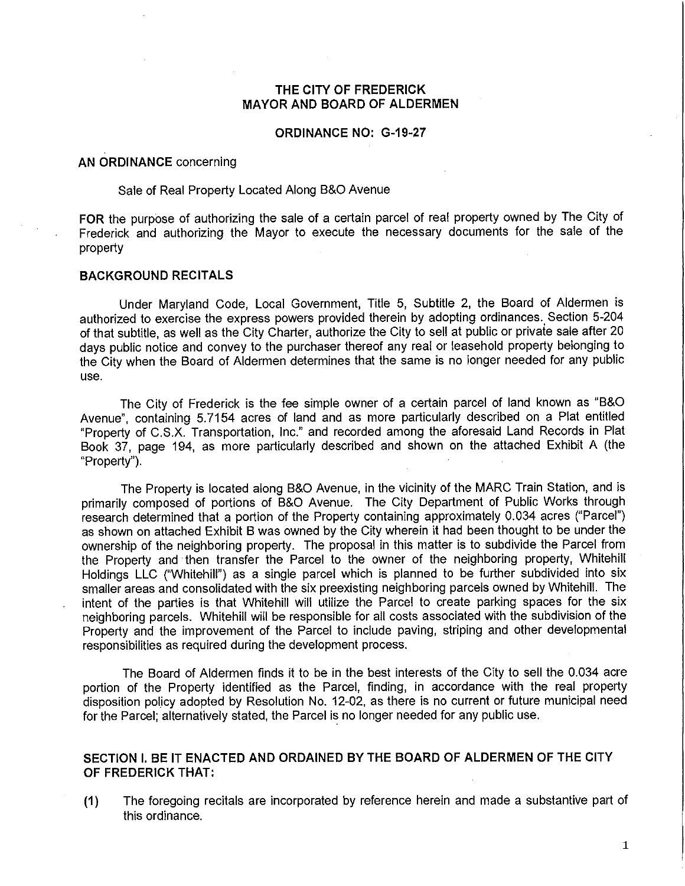## **THE CITY OF FREDERICK MAYOR AND BOARD OF ALDERMEN**

### **ORDINANCE NO: G-19-27**

### **AN ORDINANCE** concerning

# Sale of Real Property Located Along B&O Avenue

**FOR** the purpose of authorizing the sale of a certain parcel of real property owned by The City of Frederick and authorizing the Mayor to execute the necessary documents for the sale of the property

### **BACKGROUND RECITALS**

Under Maryland Code, Local Government, Title 5, Subtitle 2, the Board of Aldermen is authorized to exercise the express powers provided therein by adopting ordinances. Section 5-204 of that subtitle, as well as the City Charter, authorize the City to sell at public or privaie sale after 20 days public notice and convey to the purchaser thereof any real or leasehold property belonging to the City when the Board of Aldermen determines that the same is no longer needed for any public use.

The City of Frederick is the fee simple owner of a certain parcel of land known as "B&O Avenue", containing 5.7154 acres of land and as more particularly described on a Plat entitled "Property of C.S.X. Transportation, Inc." and recorded among the aforesaid Land Records in Plat Book 37, page 194, as more particularly described and shown on the attached Exhibit A (the "Property").

The Property is located along B&O Avenue, in the vicinity of the MARC Train Station, and is primarily composed of portions of B&O Avenue. The City Department of Public Works through research determined that a portion of the Property containing approximately 0.034 acres ("Parcel") as shown on attached Exhibit B was owned by the City wherein it had been thought to be under the ownership of the neighboring property. The proposal in this matter is to subdivide the Parcel from the Property and then transfer the Parcel to the owner of the neighboring property, Whitehill Holdings LLC ("Whitehill") as a single parcel which is planned to be further subdivided into six smaller areas and consolidated with the six preexisting neighboring parcels owned by Whitehill. The intent of the parties is that Whitehill will utilize the Parcel to create parking spaces for the six neighboring parcels. Whitehill will be responsible for all costs associated with the subdivision of the Property and the improvement of the Parcel to include paving, striping and other developmental responsibilities as required during the development process.

The Board of Aldermen finds it to be in the best interests of the City to sell the 0.034 acre portion of the Property identified as the Parcel, finding, in accordance with the real property disposition policy adopted by Resolution No. 12-02, as there is no current or future municipal need for the Parcel; alternatively stated, the Parcel is no longer needed for any public use.

## **SECTION I. BE IT ENACTED AND ORDAINED BY THE BOARD OF ALDERMEN OF THE CITY OF FREDERICK THAT:**

**(1)** The foregoing recitals are incorporated by reference herein and made a substantive part of this ordinance.

1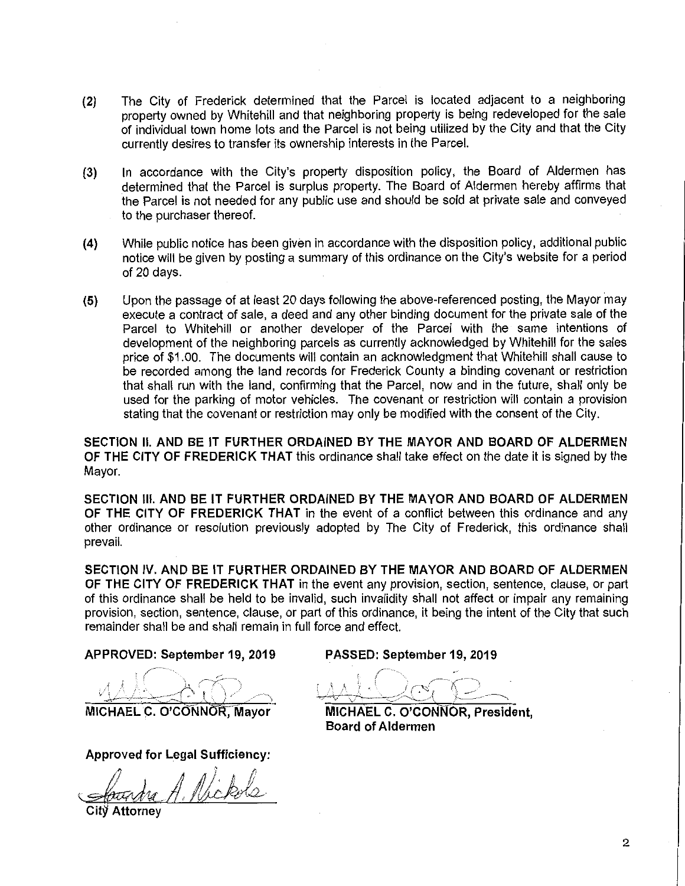- **(2)** The City of Frederick determined that the Parcel is located adjacent to a neighboring property owned by Whitehill and that neighboring property is being redeveloped for the sale of individual town home lots and the Parcel is not being utilized by the City and that the City currently desires to transfer its ownership interests in the Parcel.
- (3) In accordance with the City's property disposition policy, the Board of Aldermen has determined that the Parcel is surplus property. The Board of Aldermen hereby affirms that the Parcel is not needed for any public use and should be sold at private sale and conveyed to the purchaser thereof.
- **(4)** While public notice has been given in accordance with the disposition policy, additional public notice will be given by posting a summary of this ordinance on the City's website for a period of 20 days.
- **(5)** Upon the passage of at least 20 days following the above-referenced posting, the Mayor may execute a contract of sale, a deed and any other binding document for the private sale of the Parcel to Whitehill or another developer of the Parcel with the same intentions of development of the neighboring parcels as currently acknowledged by Whitehill for the sales price of \$1.00. The documents will contain an acknowledgment that Whitehill shall cause to be recorded among the land records for Frederick County a binding covenant or restriction that shall run with the land, confirming that the Parcel, now and in the future, shall only be used for the parking of motor vehicles. The covenant or restriction will contain a provision stating that the covenant or restriction may only be modified with the consent of the City.

**SECTION II. AND BE IT FURTHER ORDAINED BY THE MAYOR AND BOARD OF ALDERMEN OF THE CITY OF FREDERICK THAT** this ordinance shall take effect on the date it is signed by the Mayor.

**SECTION Ill. AND BE IT FURTHER ORDAINED BY THE MAYOR AND BOARD OF ALDERMEN OF THE CITY OF FREDERICK THAT** in the event of a conflict between this ordinance and any other ordinance or resolution previously adopted by The City of Frederick, this ordinance shall prevail.

**SECTION IV. AND BE IT FURTHER ORDAINED BY THE MAYOR AND BOARD OF ALDERMEN OF THE CITY OF FREDERICK THAT** in the event any provision, section, sentence, clause, or part of this ordinance shall be held to be invalid, such invalidity shall not affect or impair any remaining provision, section, sentence, clause, or part of this ordinance, it being the intent of the City that such remainder shall be and shall remain in full force and effect.

**APPROVED: September 19, 2019** 

**MICHAEL C. O'CONNOR,-Mayor** 

**Approved for Legal Sufficiency:** 

 $\zeta$ Approved for Legal Sufficiency:<br>Soundra A. Nickels *<u>ofoundre</u>* 

**PASSED: September 19, 2019** 

 $\mathbf{f} \cdot \mathbf{f} \cdot \mathbf{f} \cdot \mathbf{f} \cdot \mathbf{f} \cdot \mathbf{f} \cdot \mathbf{f} \cdot \mathbf{f} \cdot \mathbf{f} \cdot \mathbf{f} \cdot \mathbf{f} \cdot \mathbf{f} \cdot \mathbf{f} \cdot \mathbf{f} \cdot \mathbf{f} \cdot \mathbf{f} \cdot \mathbf{f} \cdot \mathbf{f} \cdot \mathbf{f} \cdot \mathbf{f} \cdot \mathbf{f} \cdot \mathbf{f} \cdot \mathbf{f} \cdot \mathbf{f} \cdot \mathbf{f} \cdot \mathbf{f} \cdot \mathbf{f} \cdot \mathbf{$  $\text{max}$  is the point of  $\text{min}$ 

**MICHAEL C. O'CONNOR, President, Board of Aldermen**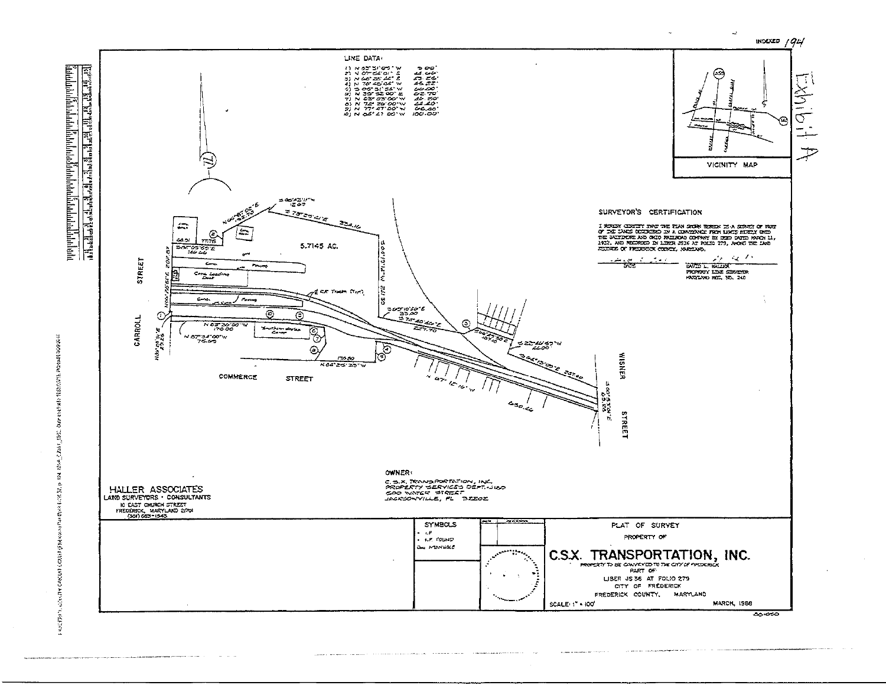

ne e specializa a considerar a característica de exploración de construirse a considera

1984 - Chair, 1982 Dan essays (1983), 1983 - 1984 Capital Š.  $\mathbf{a}_t$ caster Cost (pureasing the Caster St.

 $\sim$  . The continuing comparison is a second continuing to the continuing of the continuing of the continuing  $\sim$ 

and the contract of the company of

and a member of completion

 $\sim$ 

 $\mathbf{r}$